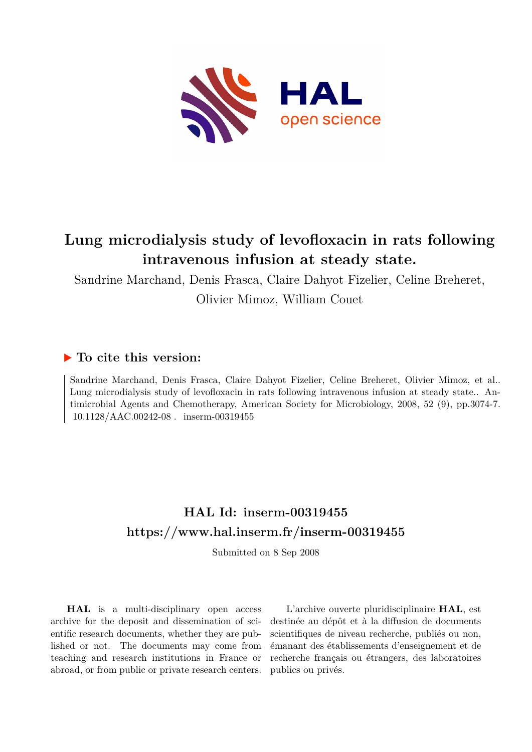

## **Lung microdialysis study of levofloxacin in rats following intravenous infusion at steady state.**

Sandrine Marchand, Denis Frasca, Claire Dahyot Fizelier, Celine Breheret, Olivier Mimoz, William Couet

## **To cite this version:**

Sandrine Marchand, Denis Frasca, Claire Dahyot Fizelier, Celine Breheret, Olivier Mimoz, et al.. Lung microdialysis study of levofloxacin in rats following intravenous infusion at steady state.. Antimicrobial Agents and Chemotherapy, American Society for Microbiology, 2008, 52 (9), pp.3074-7. 10.1128/AAC.00242-08. inserm-00319455

## **HAL Id: inserm-00319455 <https://www.hal.inserm.fr/inserm-00319455>**

Submitted on 8 Sep 2008

**HAL** is a multi-disciplinary open access archive for the deposit and dissemination of scientific research documents, whether they are published or not. The documents may come from teaching and research institutions in France or abroad, or from public or private research centers.

L'archive ouverte pluridisciplinaire **HAL**, est destinée au dépôt et à la diffusion de documents scientifiques de niveau recherche, publiés ou non, émanant des établissements d'enseignement et de recherche français ou étrangers, des laboratoires publics ou privés.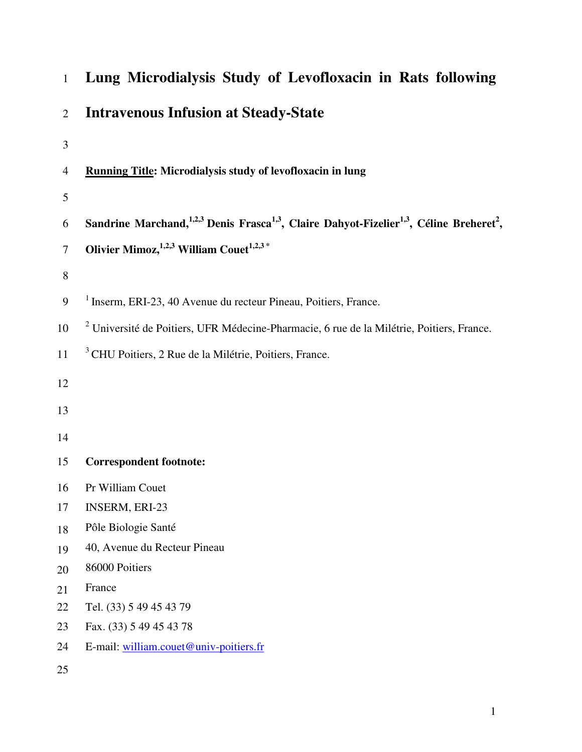| $\mathbf{1}$   | Lung Microdialysis Study of Levofloxacin in Rats following                                                                               |
|----------------|------------------------------------------------------------------------------------------------------------------------------------------|
| $\overline{2}$ | <b>Intravenous Infusion at Steady-State</b>                                                                                              |
| 3              |                                                                                                                                          |
| $\overline{4}$ | Running Title: Microdialysis study of levofloxacin in lung                                                                               |
| 5              |                                                                                                                                          |
| 6              | Sandrine Marchand, <sup>1,2,3</sup> Denis Frasca <sup>1,3</sup> , Claire Dahyot-Fizelier <sup>1,3</sup> , Céline Breheret <sup>2</sup> , |
| $\tau$         | Olivier Mimoz, $1,2,3$ William Couet $1,2,3$ *                                                                                           |
| $8\,$          |                                                                                                                                          |
| 9              | <sup>1</sup> Inserm, ERI-23, 40 Avenue du recteur Pineau, Poitiers, France.                                                              |
|                |                                                                                                                                          |
| 10             | <sup>2</sup> Université de Poitiers, UFR Médecine-Pharmacie, 6 rue de la Milétrie, Poitiers, France.                                     |
| 11             | <sup>3</sup> CHU Poitiers, 2 Rue de la Milétrie, Poitiers, France.                                                                       |
| 12             |                                                                                                                                          |
| 13             |                                                                                                                                          |
| 14             |                                                                                                                                          |
|                |                                                                                                                                          |
| 15             | <b>Correspondent footnote:</b>                                                                                                           |
| 16             | Pr William Couet                                                                                                                         |
| 17             | <b>INSERM, ERI-23</b>                                                                                                                    |
| 18             | Pôle Biologie Santé                                                                                                                      |
| 19             | 40, Avenue du Recteur Pineau                                                                                                             |
| 20             | 86000 Poitiers                                                                                                                           |
| 21             | France                                                                                                                                   |
| 22             | Tel. (33) 5 49 45 43 79                                                                                                                  |
| 23             | Fax. (33) 5 49 45 43 78                                                                                                                  |
| 24             | E-mail: william.couet@univ-poitiers.fr                                                                                                   |
| 25             |                                                                                                                                          |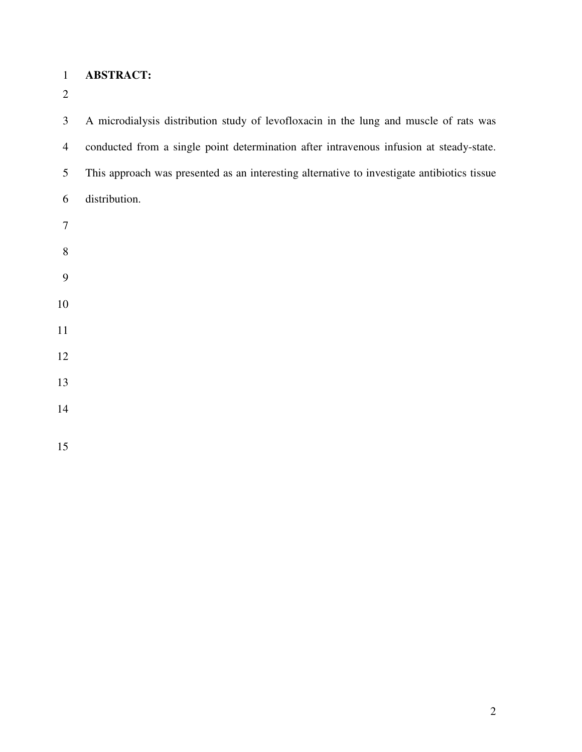## **ABSTRACT:**

3 A microdialysis distribution study of levofloxacin in the lung and muscle of rats was 4 conducted from a single point determination after intravenous infusion at steady-state. 5 This approach was presented as an interesting alternative to investigate antibiotics tissue 6 distribution.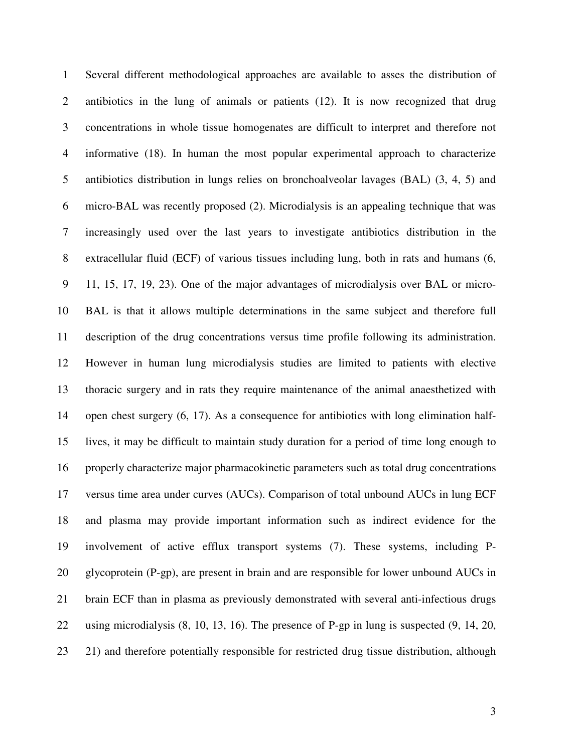1 Several different methodological approaches are available to asses the distribution of 2 antibiotics in the lung of animals or patients (12). It is now recognized that drug 3 concentrations in whole tissue homogenates are difficult to interpret and therefore not 4 informative (18). In human the most popular experimental approach to characterize 5 antibiotics distribution in lungs relies on bronchoalveolar lavages (BAL) (3, 4, 5) and 6 micro-BAL was recently proposed (2). Microdialysis is an appealing technique that was 7 increasingly used over the last years to investigate antibiotics distribution in the 8 extracellular fluid (ECF) of various tissues including lung, both in rats and humans (6, 9 11, 15, 17, 19, 23). One of the major advantages of microdialysis over BAL or micro-10 BAL is that it allows multiple determinations in the same subject and therefore full 11 description of the drug concentrations versus time profile following its administration. 12 However in human lung microdialysis studies are limited to patients with elective 13 thoracic surgery and in rats they require maintenance of the animal anaesthetized with 14 open chest surgery (6, 17). As a consequence for antibiotics with long elimination half-15 lives, it may be difficult to maintain study duration for a period of time long enough to 16 properly characterize major pharmacokinetic parameters such as total drug concentrations 17 versus time area under curves (AUCs). Comparison of total unbound AUCs in lung ECF 18 and plasma may provide important information such as indirect evidence for the 19 involvement of active efflux transport systems (7). These systems, including P-20 glycoprotein (P-gp), are present in brain and are responsible for lower unbound AUCs in 21 brain ECF than in plasma as previously demonstrated with several anti-infectious drugs 22 using microdialysis (8, 10, 13, 16). The presence of P-gp in lung is suspected (9, 14, 20, 23 21) and therefore potentially responsible for restricted drug tissue distribution, although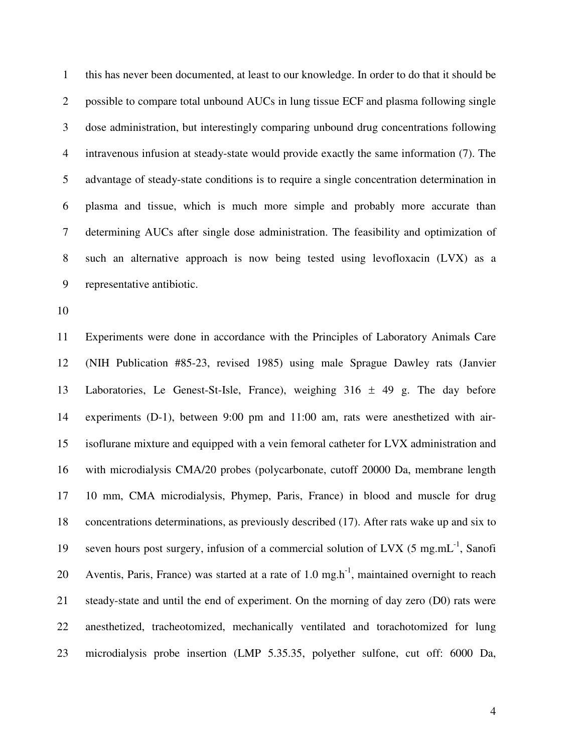1 this has never been documented, at least to our knowledge. In order to do that it should be 2 possible to compare total unbound AUCs in lung tissue ECF and plasma following single 3 dose administration, but interestingly comparing unbound drug concentrations following 4 intravenous infusion at steady-state would provide exactly the same information (7). The 5 advantage of steady-state conditions is to require a single concentration determination in 6 plasma and tissue, which is much more simple and probably more accurate than 7 determining AUCs after single dose administration. The feasibility and optimization of 8 such an alternative approach is now being tested using levofloxacin (LVX) as a 9 representative antibiotic.

10

11 Experiments were done in accordance with the Principles of Laboratory Animals Care 12 (NIH Publication #85-23, revised 1985) using male Sprague Dawley rats (Janvier 13 Laboratories, Le Genest-St-Isle, France), weighing 316 ± 49 g. The day before 14 experiments (D-1), between 9:00 pm and 11:00 am, rats were anesthetized with air-15 isoflurane mixture and equipped with a vein femoral catheter for LVX administration and 16 with microdialysis CMA/20 probes (polycarbonate, cutoff 20000 Da, membrane length 17 10 mm, CMA microdialysis, Phymep, Paris, France) in blood and muscle for drug 18 concentrations determinations, as previously described (17). After rats wake up and six to 19 seven hours post surgery, infusion of a commercial solution of LVX (5 mg.mL $^{-1}$ , Sanofi 20 Aventis, Paris, France) was started at a rate of  $1.0 \text{ mg.h}^{-1}$ , maintained overnight to reach 21 steady-state and until the end of experiment. On the morning of day zero (D0) rats were 22 anesthetized, tracheotomized, mechanically ventilated and torachotomized for lung 23 microdialysis probe insertion (LMP 5.35.35, polyether sulfone, cut off: 6000 Da,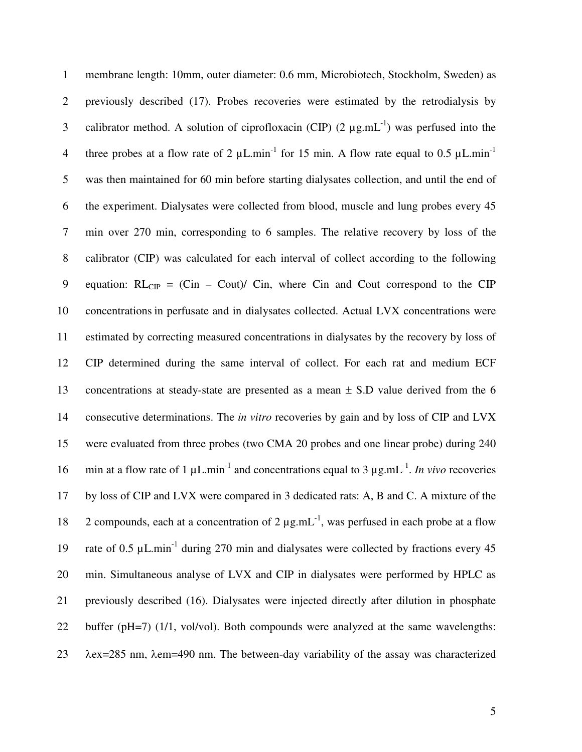| $\mathbf{1}$   | membrane length: 10mm, outer diameter: 0.6 mm, Microbiotech, Stockholm, Sweden) as                                            |
|----------------|-------------------------------------------------------------------------------------------------------------------------------|
| $\overline{2}$ | previously described (17). Probes recoveries were estimated by the retrodialysis by                                           |
| 3              | calibrator method. A solution of ciprofloxacin (CIP) $(2 \mu g.mL^{-1})$ was perfused into the                                |
| $\overline{4}$ | three probes at a flow rate of 2 $\mu$ L.min <sup>-1</sup> for 15 min. A flow rate equal to 0.5 $\mu$ L.min <sup>-1</sup>     |
| 5              | was then maintained for 60 min before starting dialysates collection, and until the end of                                    |
| 6              | the experiment. Dialysates were collected from blood, muscle and lung probes every 45                                         |
| $\tau$         | min over 270 min, corresponding to 6 samples. The relative recovery by loss of the                                            |
| $8\,$          | calibrator (CIP) was calculated for each interval of collect according to the following                                       |
| $\mathbf{9}$   | equation: $RL_{CP} = (Cin - Coul)/Cin$ , where Cin and Cout correspond to the CIP                                             |
| 10             | concentrations in perfusate and in dialysates collected. Actual LVX concentrations were                                       |
| 11             | estimated by correcting measured concentrations in dialysates by the recovery by loss of                                      |
| 12             | CIP determined during the same interval of collect. For each rat and medium ECF                                               |
| 13             | concentrations at steady-state are presented as a mean $\pm$ S.D value derived from the 6                                     |
| 14             | consecutive determinations. The in vitro recoveries by gain and by loss of CIP and LVX                                        |
| 15             | were evaluated from three probes (two CMA 20 probes and one linear probe) during 240                                          |
| 16             | min at a flow rate of 1 $\mu$ L.min <sup>-1</sup> and concentrations equal to 3 $\mu$ g.mL <sup>-1</sup> . In vivo recoveries |
| 17             | by loss of CIP and LVX were compared in 3 dedicated rats: A, B and C. A mixture of the                                        |
| 18             | 2 compounds, each at a concentration of 2 $\mu$ g.mL <sup>-1</sup> , was perfused in each probe at a flow                     |
| 19             | rate of 0.5 µL.min <sup>-1</sup> during 270 min and dialysates were collected by fractions every 45                           |
| 20             | min. Simultaneous analyse of LVX and CIP in dialysates were performed by HPLC as                                              |
| 21             | previously described (16). Dialysates were injected directly after dilution in phosphate                                      |
| 22             | buffer (pH=7) (1/1, vol/vol). Both compounds were analyzed at the same wavelengths:                                           |
| 23             | $\lambda$ ex=285 nm, $\lambda$ em=490 nm. The between-day variability of the assay was characterized                          |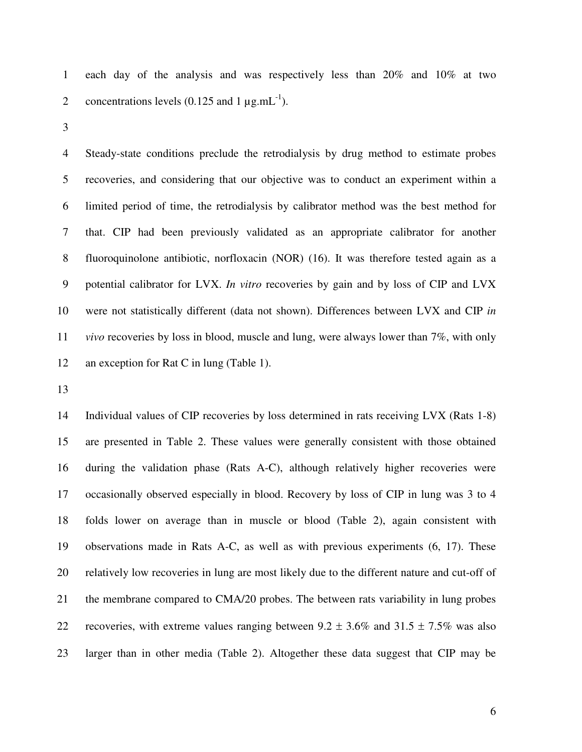1 each day of the analysis and was respectively less than 20% and 10% at two 2 concentrations levels  $(0.125 \text{ and } 1 \mu \text{g.mL}^{-1})$ .

3

4 Steady-state conditions preclude the retrodialysis by drug method to estimate probes 5 recoveries, and considering that our objective was to conduct an experiment within a 6 limited period of time, the retrodialysis by calibrator method was the best method for 7 that. CIP had been previously validated as an appropriate calibrator for another 8 fluoroquinolone antibiotic, norfloxacin (NOR) (16). It was therefore tested again as a 9 potential calibrator for LVX. *In vitro* recoveries by gain and by loss of CIP and LVX 10 were not statistically different (data not shown). Differences between LVX and CIP *in*  11 *vivo* recoveries by loss in blood, muscle and lung, were always lower than 7%, with only 12 an exception for Rat C in lung (Table 1).

13

14 Individual values of CIP recoveries by loss determined in rats receiving LVX (Rats 1-8) 15 are presented in Table 2. These values were generally consistent with those obtained 16 during the validation phase (Rats A-C), although relatively higher recoveries were 17 occasionally observed especially in blood. Recovery by loss of CIP in lung was 3 to 4 18 folds lower on average than in muscle or blood (Table 2), again consistent with 19 observations made in Rats A-C, as well as with previous experiments (6, 17). These 20 relatively low recoveries in lung are most likely due to the different nature and cut-off of 21 the membrane compared to CMA/20 probes. The between rats variability in lung probes 22 recoveries, with extreme values ranging between  $9.2 \pm 3.6\%$  and  $31.5 \pm 7.5\%$  was also 23 larger than in other media (Table 2). Altogether these data suggest that CIP may be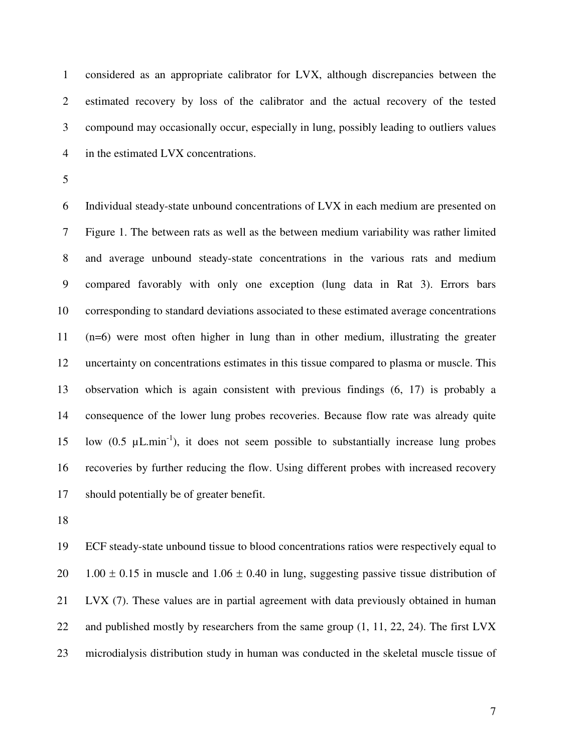1 considered as an appropriate calibrator for LVX, although discrepancies between the 2 estimated recovery by loss of the calibrator and the actual recovery of the tested 3 compound may occasionally occur, especially in lung, possibly leading to outliers values 4 in the estimated LVX concentrations.

5

6 Individual steady-state unbound concentrations of LVX in each medium are presented on 7 Figure 1. The between rats as well as the between medium variability was rather limited 8 and average unbound steady-state concentrations in the various rats and medium 9 compared favorably with only one exception (lung data in Rat 3). Errors bars 10 corresponding to standard deviations associated to these estimated average concentrations 11 (n=6) were most often higher in lung than in other medium, illustrating the greater 12 uncertainty on concentrations estimates in this tissue compared to plasma or muscle. This 13 observation which is again consistent with previous findings (6, 17) is probably a 14 consequence of the lower lung probes recoveries. Because flow rate was already quite 15 low  $(0.5 \mu L.min^{-1})$ , it does not seem possible to substantially increase lung probes 16 recoveries by further reducing the flow. Using different probes with increased recovery 17 should potentially be of greater benefit.

18

19 ECF steady-state unbound tissue to blood concentrations ratios were respectively equal to 20 1.00  $\pm$  0.15 in muscle and 1.06  $\pm$  0.40 in lung, suggesting passive tissue distribution of 21 LVX (7). These values are in partial agreement with data previously obtained in human 22 and published mostly by researchers from the same group  $(1, 11, 22, 24)$ . The first LVX 23 microdialysis distribution study in human was conducted in the skeletal muscle tissue of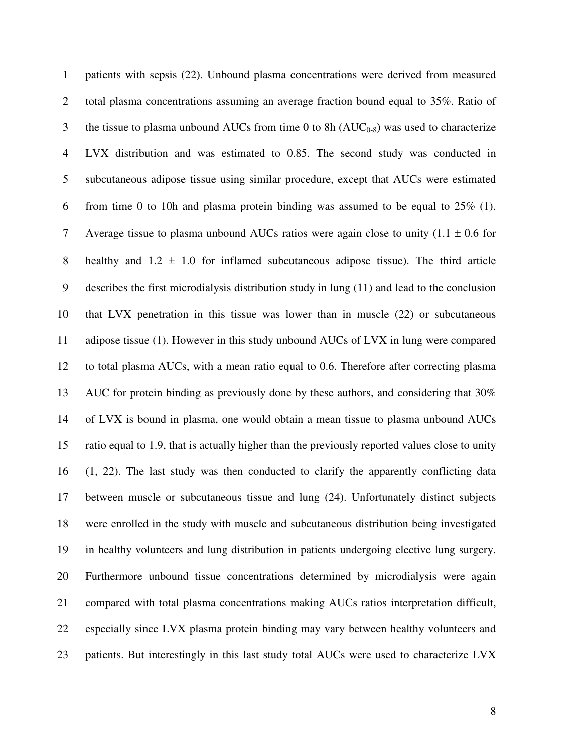1 patients with sepsis (22). Unbound plasma concentrations were derived from measured 2 total plasma concentrations assuming an average fraction bound equal to 35%. Ratio of 3 the tissue to plasma unbound AUCs from time 0 to 8h  $(AUC_{0.8})$  was used to characterize 4 LVX distribution and was estimated to 0.85. The second study was conducted in 5 subcutaneous adipose tissue using similar procedure, except that AUCs were estimated 6 from time 0 to 10h and plasma protein binding was assumed to be equal to 25% (1). 7 Average tissue to plasma unbound AUCs ratios were again close to unity  $(1.1 \pm 0.6$  for 8 healthy and  $1.2 \pm 1.0$  for inflamed subcutaneous adipose tissue). The third article 9 describes the first microdialysis distribution study in lung (11) and lead to the conclusion 10 that LVX penetration in this tissue was lower than in muscle (22) or subcutaneous 11 adipose tissue (1). However in this study unbound AUCs of LVX in lung were compared 12 to total plasma AUCs, with a mean ratio equal to 0.6. Therefore after correcting plasma 13 AUC for protein binding as previously done by these authors, and considering that 30% 14 of LVX is bound in plasma, one would obtain a mean tissue to plasma unbound AUCs 15 ratio equal to 1.9, that is actually higher than the previously reported values close to unity 16 (1, 22). The last study was then conducted to clarify the apparently conflicting data 17 between muscle or subcutaneous tissue and lung (24). Unfortunately distinct subjects 18 were enrolled in the study with muscle and subcutaneous distribution being investigated 19 in healthy volunteers and lung distribution in patients undergoing elective lung surgery. 20 Furthermore unbound tissue concentrations determined by microdialysis were again 21 compared with total plasma concentrations making AUCs ratios interpretation difficult, 22 especially since LVX plasma protein binding may vary between healthy volunteers and 23 patients. But interestingly in this last study total AUCs were used to characterize LVX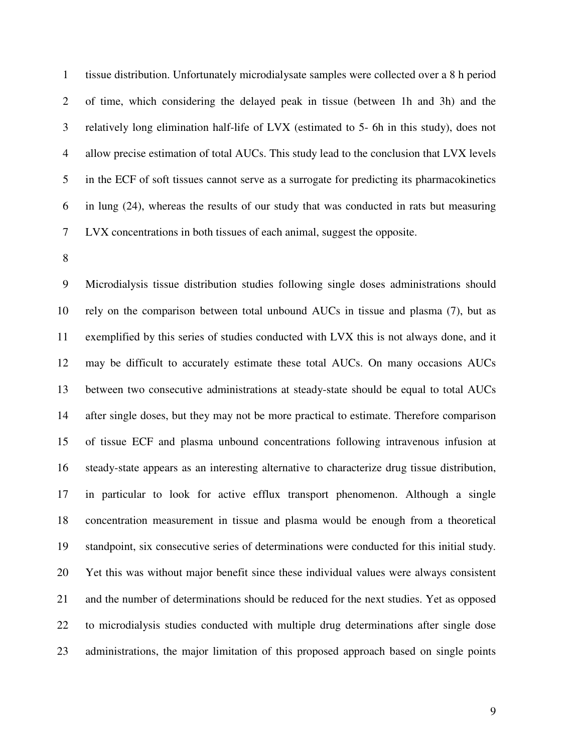1 tissue distribution. Unfortunately microdialysate samples were collected over a 8 h period 2 of time, which considering the delayed peak in tissue (between 1h and 3h) and the 3 relatively long elimination half-life of LVX (estimated to 5- 6h in this study), does not 4 allow precise estimation of total AUCs. This study lead to the conclusion that LVX levels 5 in the ECF of soft tissues cannot serve as a surrogate for predicting its pharmacokinetics 6 in lung (24), whereas the results of our study that was conducted in rats but measuring 7 LVX concentrations in both tissues of each animal, suggest the opposite.

8

9 Microdialysis tissue distribution studies following single doses administrations should 10 rely on the comparison between total unbound AUCs in tissue and plasma (7), but as 11 exemplified by this series of studies conducted with LVX this is not always done, and it 12 may be difficult to accurately estimate these total AUCs. On many occasions AUCs 13 between two consecutive administrations at steady-state should be equal to total AUCs 14 after single doses, but they may not be more practical to estimate. Therefore comparison 15 of tissue ECF and plasma unbound concentrations following intravenous infusion at 16 steady-state appears as an interesting alternative to characterize drug tissue distribution, 17 in particular to look for active efflux transport phenomenon. Although a single 18 concentration measurement in tissue and plasma would be enough from a theoretical 19 standpoint, six consecutive series of determinations were conducted for this initial study. 20 Yet this was without major benefit since these individual values were always consistent 21 and the number of determinations should be reduced for the next studies. Yet as opposed 22 to microdialysis studies conducted with multiple drug determinations after single dose 23 administrations, the major limitation of this proposed approach based on single points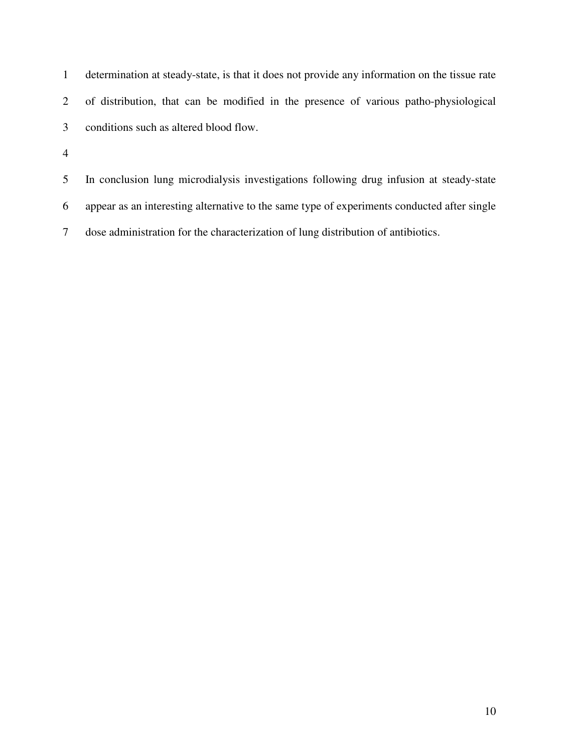| determination at steady-state, is that it does not provide any information on the tissue rate |
|-----------------------------------------------------------------------------------------------|
| of distribution, that can be modified in the presence of various patho-physiological          |
| conditions such as altered blood flow.                                                        |

5 In conclusion lung microdialysis investigations following drug infusion at steady-state

6 appear as an interesting alternative to the same type of experiments conducted after single

7 dose administration for the characterization of lung distribution of antibiotics.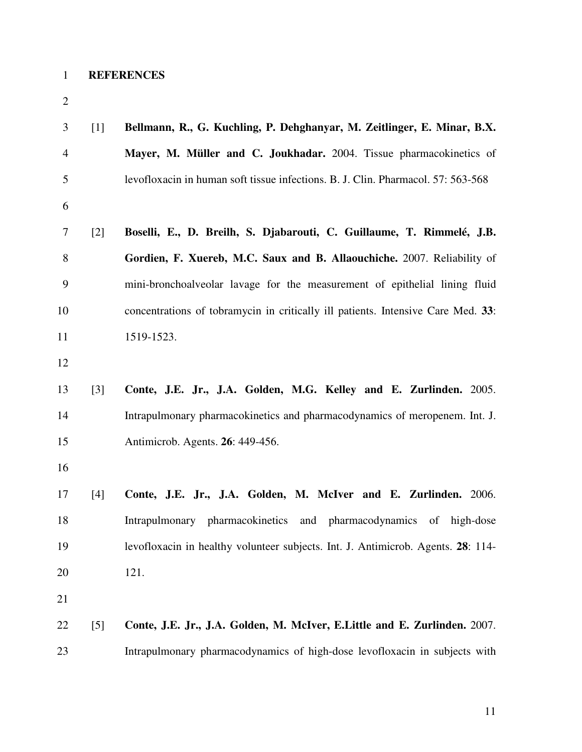| <b>REFERENCES</b> |
|-------------------|
|                   |

| 3              | $[1]$             | Bellmann, R., G. Kuchling, P. Dehghanyar, M. Zeitlinger, E. Minar, B.X.          |
|----------------|-------------------|----------------------------------------------------------------------------------|
| $\overline{4}$ |                   | Mayer, M. Müller and C. Joukhadar. 2004. Tissue pharmacokinetics of              |
| 5              |                   | levofloxacin in human soft tissue infections. B. J. Clin. Pharmacol. 57: 563-568 |
| 6              |                   |                                                                                  |
| 7              | $\lceil 2 \rceil$ | Boselli, E., D. Breilh, S. Djabarouti, C. Guillaume, T. Rimmelé, J.B.            |
| 8              |                   | Gordien, F. Xuereb, M.C. Saux and B. Allaouchiche. 2007. Reliability of          |
| 9              |                   | mini-bronchoalveolar lavage for the measurement of epithelial lining fluid       |
| 10             |                   | concentrations of tobramycin in critically ill patients. Intensive Care Med. 33: |
| 11             |                   | 1519-1523.                                                                       |
| 12             |                   |                                                                                  |
| 13             | $\lceil 3 \rceil$ | Conte, J.E. Jr., J.A. Golden, M.G. Kelley and E. Zurlinden. 2005.                |
| 14             |                   | Intrapulmonary pharmacokinetics and pharmacodynamics of meropenem. Int. J.       |
| 15             |                   | Antimicrob. Agents. 26: 449-456.                                                 |
| 16             |                   |                                                                                  |
| 17             | $[4]$             | Conte, J.E. Jr., J.A. Golden, M. McIver and E. Zurlinden. 2006.                  |
| 18             |                   | Intrapulmonary pharmacokinetics and pharmacodynamics of high-dose                |
| 19             |                   | levofloxacin in healthy volunteer subjects. Int. J. Antimicrob. Agents. 28: 114- |
| 20             |                   | 121.                                                                             |
| 21             |                   |                                                                                  |
| 22             | [5]               | Conte, J.E. Jr., J.A. Golden, M. McIver, E.Little and E. Zurlinden. 2007.        |
| 23             |                   | Intrapulmonary pharmacodynamics of high-dose levofloxacin in subjects with       |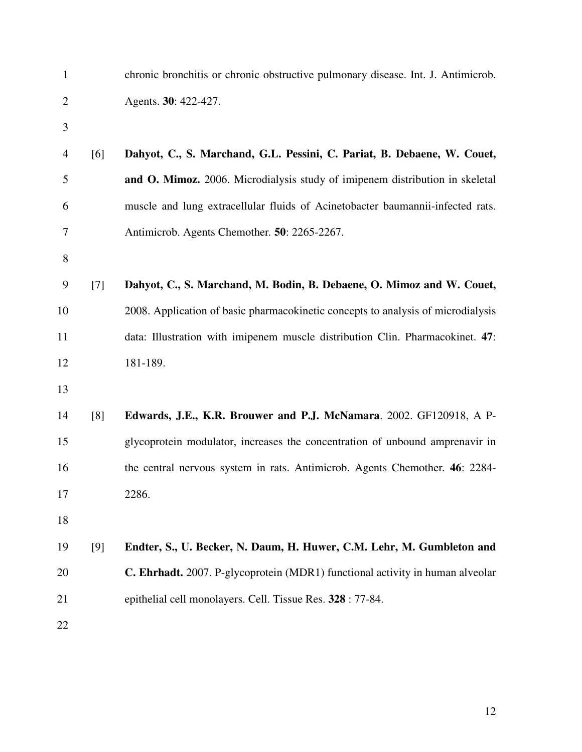| $\mathbf{1}$     |       | chronic bronchitis or chronic obstructive pulmonary disease. Int. J. Antimicrob. |
|------------------|-------|----------------------------------------------------------------------------------|
| $\mathbf{2}$     |       | Agents. 30: 422-427.                                                             |
| 3                |       |                                                                                  |
| $\overline{4}$   | [6]   | Dahyot, C., S. Marchand, G.L. Pessini, C. Pariat, B. Debaene, W. Couet,          |
| 5                |       | and O. Mimoz. 2006. Microdialysis study of imipenem distribution in skeletal     |
| 6                |       | muscle and lung extracellular fluids of Acinetobacter baumannii-infected rats.   |
| 7                |       | Antimicrob. Agents Chemother. 50: 2265-2267.                                     |
| $8\,$            |       |                                                                                  |
| $\boldsymbol{9}$ | $[7]$ | Dahyot, C., S. Marchand, M. Bodin, B. Debaene, O. Mimoz and W. Couet,            |
| 10               |       | 2008. Application of basic pharmacokinetic concepts to analysis of microdialysis |
| 11               |       | data: Illustration with imipenem muscle distribution Clin. Pharmacokinet. 47:    |
| 12               |       | 181-189.                                                                         |
| 13               |       |                                                                                  |
| 14               | [8]   | Edwards, J.E., K.R. Brouwer and P.J. McNamara. 2002. GF120918, A P-              |
| 15               |       | glycoprotein modulator, increases the concentration of unbound amprenavir in     |
| 16               |       | the central nervous system in rats. Antimicrob. Agents Chemother. 46: 2284-      |
| 17               |       | 2286.                                                                            |
| 18               |       |                                                                                  |
| 19               | [9]   | Endter, S., U. Becker, N. Daum, H. Huwer, C.M. Lehr, M. Gumbleton and            |
| 20               |       | C. Ehrhadt. 2007. P-glycoprotein (MDR1) functional activity in human alveolar    |
| 21               |       | epithelial cell monolayers. Cell. Tissue Res. 328 : 77-84.                       |
| 22               |       |                                                                                  |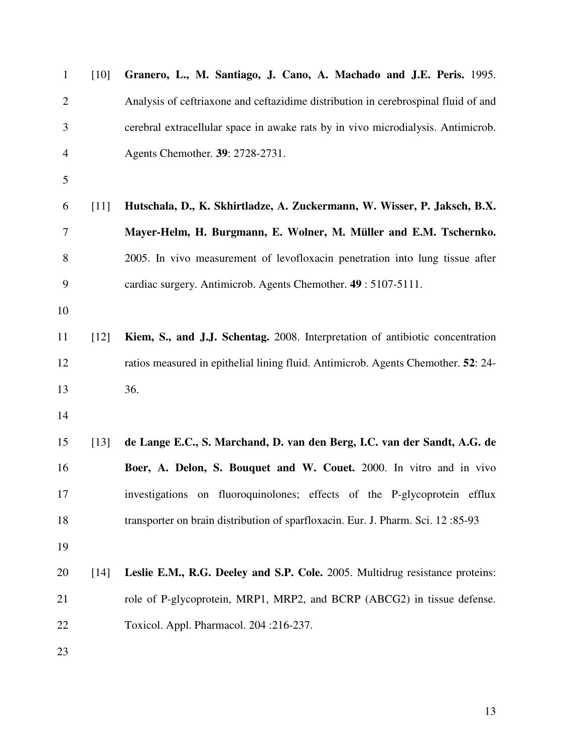| $\mathbf{1}$   | $[10]$ | Granero, L., M. Santiago, J. Cano, A. Machado and J.E. Peris. 1995.                |
|----------------|--------|------------------------------------------------------------------------------------|
| $\overline{2}$ |        | Analysis of ceftriaxone and ceftazidime distribution in cerebrospinal fluid of and |
| 3              |        | cerebral extracellular space in awake rats by in vivo microdialysis. Antimicrob.   |
| $\overline{4}$ |        | Agents Chemother. 39: 2728-2731.                                                   |
| 5              |        |                                                                                    |
| 6              | $[11]$ | Hutschala, D., K. Skhirtladze, A. Zuckermann, W. Wisser, P. Jaksch, B.X.           |
| 7              |        | Mayer-Helm, H. Burgmann, E. Wolner, M. Müller and E.M. Tschernko.                  |
| 8              |        | 2005. In vivo measurement of levofloxacin penetration into lung tissue after       |
| 9              |        | cardiac surgery. Antimicrob. Agents Chemother. 49: 5107-5111.                      |
| 10             |        |                                                                                    |
| 11             | [12]   | Kiem, S., and J.J. Schentag. 2008. Interpretation of antibiotic concentration      |
| 12             |        | ratios measured in epithelial lining fluid. Antimicrob. Agents Chemother. 52: 24-  |
| 13             |        | 36.                                                                                |
| 14             |        |                                                                                    |
| 15             | [13]   | de Lange E.C., S. Marchand, D. van den Berg, I.C. van der Sandt, A.G. de           |
| 16             |        | Boer, A. Delon, S. Bouquet and W. Couet. 2000. In vitro and in vivo                |
| 17             |        | investigations on fluoroquinolones; effects of the P-glycoprotein efflux           |
| 18             |        | transporter on brain distribution of sparfloxacin. Eur. J. Pharm. Sci. 12:85-93    |
| 19             |        |                                                                                    |
| 20             | $[14]$ | Leslie E.M., R.G. Deeley and S.P. Cole. 2005. Multidrug resistance proteins:       |
| 21             |        | role of P-glycoprotein, MRP1, MRP2, and BCRP (ABCG2) in tissue defense.            |
| 22             |        | Toxicol. Appl. Pharmacol. 204:216-237.                                             |
| 23             |        |                                                                                    |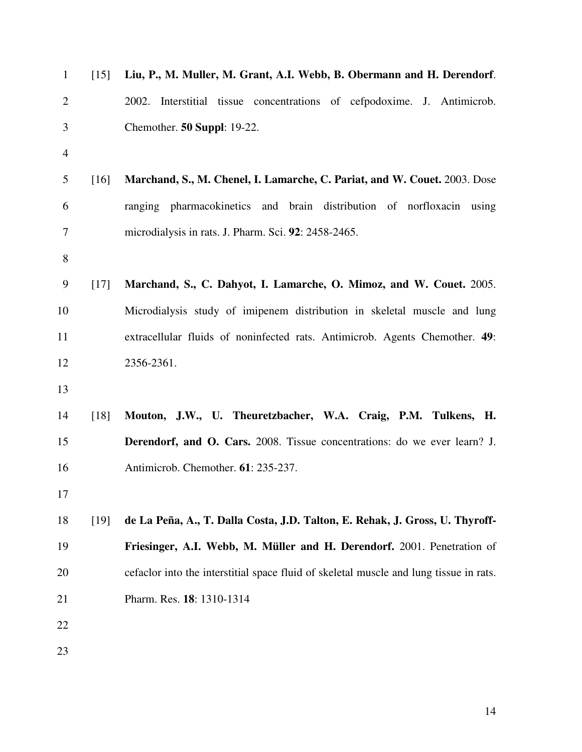| $\mathbf{1}$     | [15]   | Liu, P., M. Muller, M. Grant, A.I. Webb, B. Obermann and H. Derendorf.                 |
|------------------|--------|----------------------------------------------------------------------------------------|
| $\overline{2}$   |        | Interstitial tissue concentrations of cefpodoxime. J. Antimicrob.<br>2002.             |
| 3                |        | Chemother. 50 Suppl: 19-22.                                                            |
| $\overline{4}$   |        |                                                                                        |
| 5                | [16]   | Marchand, S., M. Chenel, I. Lamarche, C. Pariat, and W. Couet. 2003. Dose              |
| 6                |        | ranging pharmacokinetics and brain distribution of norfloxacin using                   |
| 7                |        | microdialysis in rats. J. Pharm. Sci. 92: 2458-2465.                                   |
| $8\,$            |        |                                                                                        |
| $\boldsymbol{9}$ | $[17]$ | Marchand, S., C. Dahyot, I. Lamarche, O. Mimoz, and W. Couet. 2005.                    |
| 10               |        | Microdialysis study of imipenem distribution in skeletal muscle and lung               |
| 11               |        | extracellular fluids of noninfected rats. Antimicrob. Agents Chemother. 49:            |
| 12               |        | 2356-2361.                                                                             |
| 13               |        |                                                                                        |
| 14               | $[18]$ | Mouton, J.W., U. Theuretzbacher, W.A. Craig, P.M. Tulkens, H.                          |
| 15               |        | Derendorf, and O. Cars. 2008. Tissue concentrations: do we ever learn? J.              |
| 16               |        | Antimicrob. Chemother. 61: 235-237.                                                    |
| 17               |        |                                                                                        |
| 18               | [19]   | de La Peña, A., T. Dalla Costa, J.D. Talton, E. Rehak, J. Gross, U. Thyroff-           |
| 19               |        | Friesinger, A.I. Webb, M. Müller and H. Derendorf. 2001. Penetration of                |
| 20               |        | cefaclor into the interstitial space fluid of skeletal muscle and lung tissue in rats. |
| 21               |        | Pharm. Res. 18: 1310-1314                                                              |
| 22               |        |                                                                                        |
| 23               |        |                                                                                        |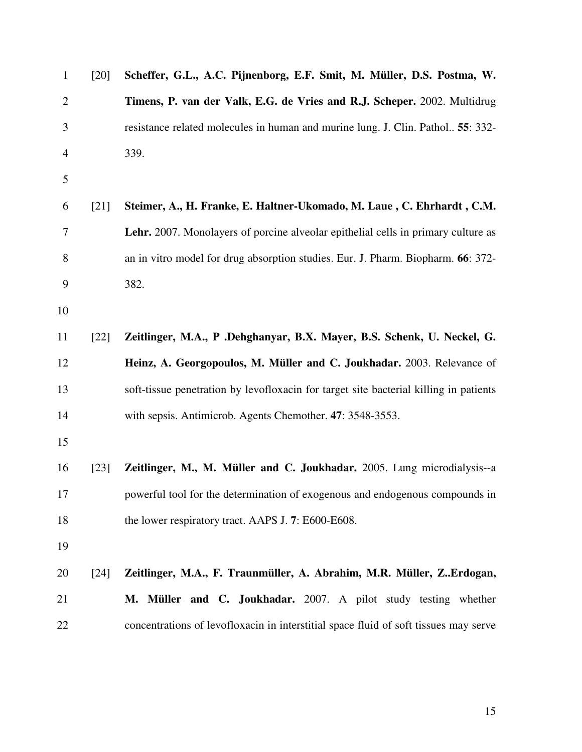| $\mathbf{1}$   | [20]               | Scheffer, G.L., A.C. Pijnenborg, E.F. Smit, M. Müller, D.S. Postma, W.                |
|----------------|--------------------|---------------------------------------------------------------------------------------|
| $\overline{2}$ |                    | Timens, P. van der Valk, E.G. de Vries and R.J. Scheper. 2002. Multidrug              |
| 3              |                    | resistance related molecules in human and murine lung. J. Clin. Pathol 55: 332-       |
| $\overline{4}$ |                    | 339.                                                                                  |
| 5              |                    |                                                                                       |
| 6              | [21]               | Steimer, A., H. Franke, E. Haltner-Ukomado, M. Laue, C. Ehrhardt, C.M.                |
| 7              |                    | Lehr. 2007. Monolayers of porcine alveolar epithelial cells in primary culture as     |
| 8              |                    | an in vitro model for drug absorption studies. Eur. J. Pharm. Biopharm. 66: 372-      |
| 9              |                    | 382.                                                                                  |
| 10             |                    |                                                                                       |
| 11             | $[22]$             | Zeitlinger, M.A., P. Dehghanyar, B.X. Mayer, B.S. Schenk, U. Neckel, G.               |
| 12             |                    | Heinz, A. Georgopoulos, M. Müller and C. Joukhadar. 2003. Relevance of                |
| 13             |                    | soft-tissue penetration by levofloxacin for target site bacterial killing in patients |
| 14             |                    | with sepsis. Antimicrob. Agents Chemother. 47: 3548-3553.                             |
| 15             |                    |                                                                                       |
| 16             | $\lceil 23 \rceil$ | Zeitlinger, M., M. Müller and C. Joukhadar. 2005. Lung microdialysis--a               |
| 17             |                    | powerful tool for the determination of exogenous and endogenous compounds in          |
| 18             |                    | the lower respiratory tract. AAPS J. 7: E600-E608.                                    |
| 19             |                    |                                                                                       |
| 20             | $[24]$             | Zeitlinger, M.A., F. Traunmüller, A. Abrahim, M.R. Müller, ZErdogan,                  |
| 21             |                    | M. Müller and C. Joukhadar. 2007. A pilot study testing whether                       |
| 22             |                    | concentrations of levofloxacin in interstitial space fluid of soft tissues may serve  |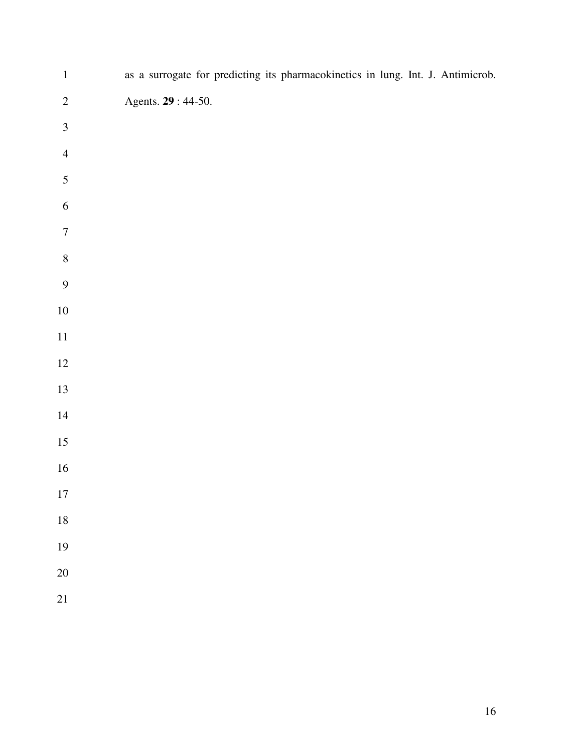| $\mathbf{1}$            | as a surrogate for predicting its pharmacokinetics in lung. Int. J. Antimicrob. |
|-------------------------|---------------------------------------------------------------------------------|
| $\overline{c}$          | Agents. 29:44-50.                                                               |
| $\overline{\mathbf{3}}$ |                                                                                 |
| $\overline{4}$          |                                                                                 |
| 5                       |                                                                                 |
| $\overline{6}$          |                                                                                 |
| $\overline{7}$          |                                                                                 |
| $\bf 8$                 |                                                                                 |
| 9                       |                                                                                 |
| $10\,$                  |                                                                                 |
| $11\,$                  |                                                                                 |
| $12\,$                  |                                                                                 |
| $13\,$                  |                                                                                 |
| $14\,$                  |                                                                                 |
| $15\,$                  |                                                                                 |
| $16\,$                  |                                                                                 |
| 17                      |                                                                                 |
| 18                      |                                                                                 |
| 19                      |                                                                                 |
| $20\,$                  |                                                                                 |
| 21                      |                                                                                 |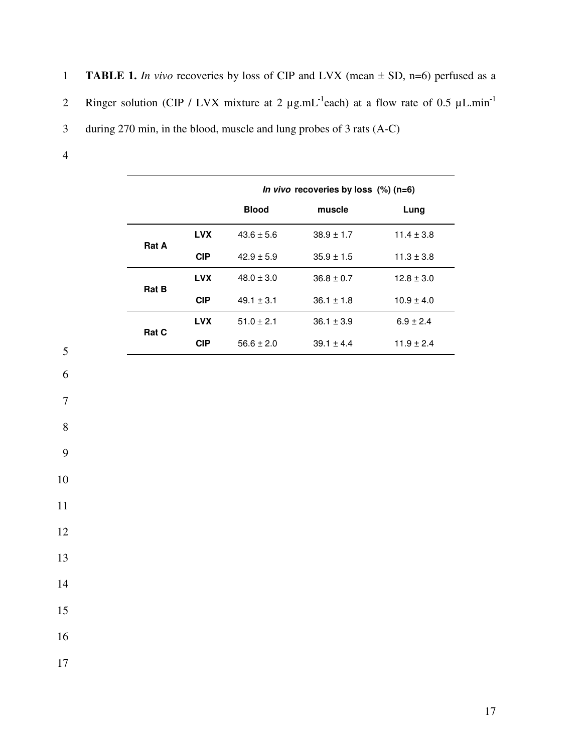- 1 **TABLE 1.** *In vivo* recoveries by loss of CIP and LVX (mean  $\pm$  SD, n=6) perfused as a
- 2 Ringer solution (CIP / LVX mixture at 2  $\mu$ g.mL<sup>-1</sup>each) at a flow rate of 0.5  $\mu$ L.min<sup>-1</sup>
- 3 during 270 min, in the blood, muscle and lung probes of 3 rats (A-C)
- 4

|              |            | In vivo recoveries by loss $(\%)$ (n=6) |                |                |
|--------------|------------|-----------------------------------------|----------------|----------------|
|              |            | <b>Blood</b>                            | muscle         | Lung           |
|              | <b>LVX</b> | $43.6 \pm 5.6$                          | $38.9 \pm 1.7$ | $11.4 \pm 3.8$ |
| <b>Rat A</b> | <b>CIP</b> | $42.9 \pm 5.9$                          | $35.9 \pm 1.5$ | $11.3 \pm 3.8$ |
| <b>Rat B</b> | <b>LVX</b> | $48.0 + 3.0$                            | $36.8 \pm 0.7$ | $12.8 \pm 3.0$ |
|              | <b>CIP</b> | $49.1 \pm 3.1$                          | $36.1 \pm 1.8$ | $10.9 \pm 4.0$ |
| <b>Rat C</b> | <b>LVX</b> | $51.0 \pm 2.1$                          | $36.1 \pm 3.9$ | $6.9 \pm 2.4$  |
|              | <b>CIP</b> | $56.6 \pm 2.0$                          | $39.1 \pm 4.4$ | $11.9 \pm 2.4$ |



7

8

9

10

11

12

13

14

15

16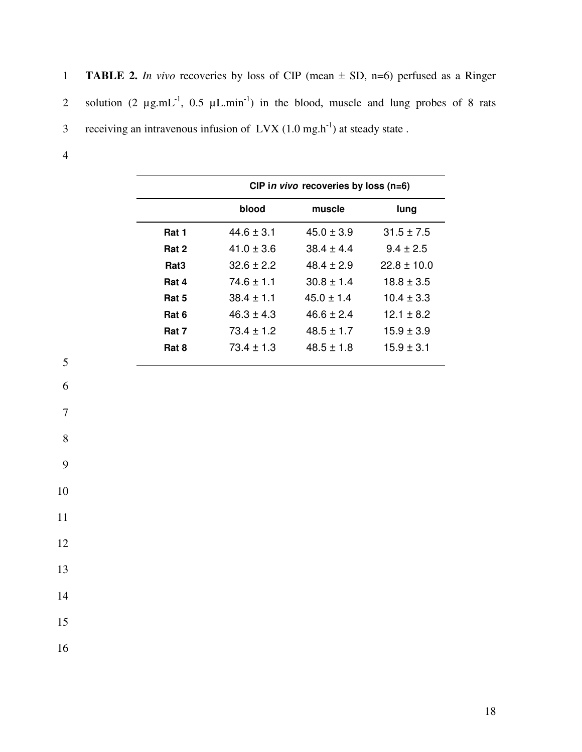|                | 1 <b>TABLE 2.</b> In vivo recoveries by loss of CIP (mean $\pm$ SD, n=6) perfused as a Ringer     |
|----------------|---------------------------------------------------------------------------------------------------|
|                | 2 solution $(2 \mu g.mL^{-1}, 0.5 \mu L.min^{-1})$ in the blood, muscle and lung probes of 8 rats |
|                | 3 receiving an intravenous infusion of $Lvx(1.0 mg.h-1)$ at steady state.                         |
| $\overline{4}$ |                                                                                                   |

|                  | CIP in vivo recoveries by loss $(n=6)$ |                |                 |
|------------------|----------------------------------------|----------------|-----------------|
|                  | blood                                  | muscle         | lung            |
| Rat 1            | $44.6 \pm 3.1$                         | $45.0 \pm 3.9$ | $31.5 \pm 7.5$  |
| Rat 2            | $41.0 + 3.6$                           | $38.4 \pm 4.4$ | $9.4 \pm 2.5$   |
| Rat <sub>3</sub> | $32.6 + 2.2$                           | $48.4 + 2.9$   | $22.8 \pm 10.0$ |
| Rat 4            | $74.6 \pm 1.1$                         | $30.8 + 1.4$   | $18.8 + 3.5$    |
| Rat 5            | $38.4 \pm 1.1$                         | $45.0 \pm 1.4$ | $10.4 \pm 3.3$  |
| Rat 6            | $46.3 + 4.3$                           | $46.6 + 2.4$   | $12.1 + 8.2$    |
| Rat 7            | $73.4 \pm 1.2$                         | $48.5 \pm 1.7$ | $15.9 \pm 3.9$  |
| Rat 8            | $73.4 \pm 1.3$                         | $48.5 \pm 1.8$ | $15.9 \pm 3.1$  |
|                  |                                        |                |                 |

6

7

8

9

10

11

12

15

14

16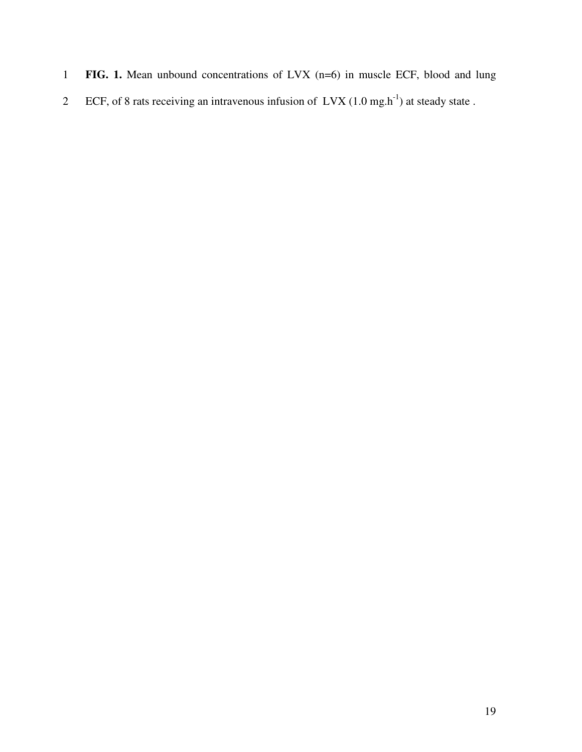- **FIG. 1.** Mean unbound concentrations of LVX (n=6) in muscle ECF, blood and lung
- ECF, of 8 rats receiving an intravenous infusion of  $Lvx$  (1.0 mg.h<sup>-1</sup>) at steady state.